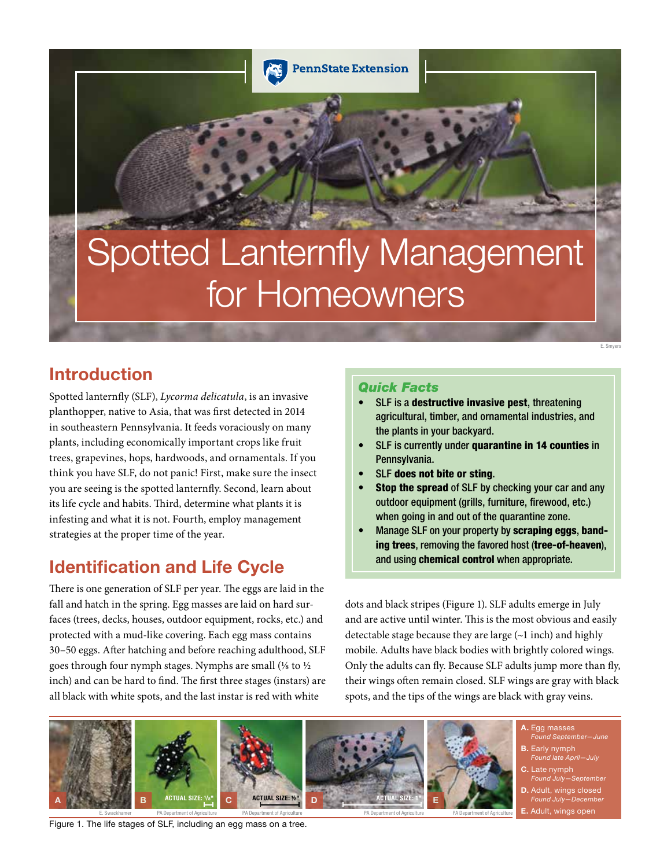

# Spotted Lanternfly Management for Homeowners

# Introduction

Spotted lanternfly (SLF), *Lycorma delicatula*, is an invasive planthopper, native to Asia, that was first detected in 2014 in southeastern Pennsylvania. It feeds voraciously on many plants, including economically important crops like fruit trees, grapevines, hops, hardwoods, and ornamentals. If you think you have SLF, do not panic! First, make sure the insect you are seeing is the spotted lanternfly. Second, learn about its life cycle and habits. Third, determine what plants it is infesting and what it is not. Fourth, employ management strategies at the proper time of the year.

# Identification and Life Cycle

There is one generation of SLF per year. The eggs are laid in the fall and hatch in the spring. Egg masses are laid on hard surfaces (trees, decks, houses, outdoor equipment, rocks, etc.) and protected with a mud-like covering. Each egg mass contains 30–50 eggs. After hatching and before reaching adulthood, SLF goes through four nymph stages. Nymphs are small (⅛ to ½ inch) and can be hard to find. The first three stages (instars) are all black with white spots, and the last instar is red with white

#### *Quick Facts*

- SLF is a **destructive invasive pest**, threatening agricultural, timber, and ornamental industries, and the plants in your backyard.
- SLF is currently under quarantine in 14 counties in Pennsylvania.
- SLF does not bite or sting.
- Stop the spread of SLF by checking your car and any outdoor equipment (grills, furniture, firewood, etc.) when going in and out of the quarantine zone.
- Manage SLF on your property by scraping eggs, banding trees, removing the favored host (tree-of-heaven), and using chemical control when appropriate.

dots and black stripes (Figure 1). SLF adults emerge in July and are active until winter. This is the most obvious and easily detectable stage because they are large (~1 inch) and highly mobile. Adults have black bodies with brightly colored wings. Only the adults can fly. Because SLF adults jump more than fly, their wings often remain closed. SLF wings are gray with black spots, and the tips of the wings are black with gray veins.



Figure 1. The life stages of SLF, including an egg mass on a tree.

**E.** Adult, wings open

E. Smyers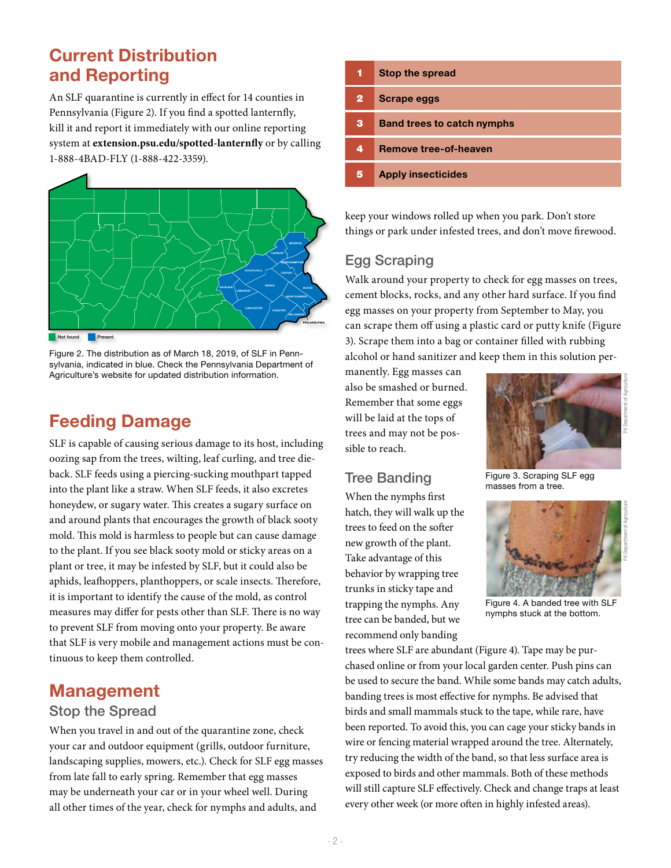# Current Distribution and Reporting

An SLF quarantine is currently in effect for 14 counties in Pennsylvania (Figure 2). If you find a spotted lanternfly, kill it and report it immediately with our online reporting system at **extension.psu.edu/spotted-lanternfly** or by calling 1-888-4BAD-FLY (1-888-422-3359).



Not found

Figure 2. The distribution as of March 18, 2019, of SLF in Pennsylvania, indicated in blue. Check the Pennsylvania Department of Agriculture's website for updated distribution information.

# Feeding Damage

SLF is capable of causing serious damage to its host, including oozing sap from the trees, wilting, leaf curling, and tree dieback. SLF feeds using a piercing-sucking mouthpart tapped into the plant like a straw. When SLF feeds, it also excretes honeydew, or sugary water. This creates a sugary surface on and around plants that encourages the growth of black sooty mold. This mold is harmless to people but can cause damage to the plant. If you see black sooty mold or sticky areas on a plant or tree, it may be infested by SLF, but it could also be aphids, leafhoppers, planthoppers, or scale insects. Therefore, it is important to identify the cause of the mold, as control measures may differ for pests other than SLF. There is no way to prevent SLF from moving onto your property. Be aware that SLF is very mobile and management actions must be continuous to keep them controlled.

## Management

#### Stop the Spread

When you travel in and out of the quarantine zone, check your car and outdoor equipment (grills, outdoor furniture, landscaping supplies, mowers, etc.). Check for SLF egg masses from late fall to early spring. Remember that egg masses may be underneath your car or in your wheel well. During all other times of the year, check for nymphs and adults, and

| 1            | <b>Stop the spread</b>            |
|--------------|-----------------------------------|
| $\mathbf{2}$ | <b>Scrape eggs</b>                |
| з            | <b>Band trees to catch nymphs</b> |
| 4            | <b>Remove tree-of-heaven</b>      |
| 5            | <b>Apply insecticides</b>         |

keep your windows rolled up when you park. Don't store things or park under infested trees, and don't move firewood.

## Egg Scraping

Walk around your property to check for egg masses on trees, cement blocks, rocks, and any other hard surface. If you find egg masses on your property from September to May, you can scrape them off using a plastic card or putty knife (Figure 3). Scrape them into a bag or container filled with rubbing alcohol or hand sanitizer and keep them in this solution per-

manently. Egg masses can also be smashed or burned. Remember that some eggs will be laid at the tops of trees and may not be possible to reach.

## Tree Banding

When the nymphs first hatch, they will walk up the trees to feed on the softer new growth of the plant. Take advantage of this behavior by wrapping tree trunks in sticky tape and trapping the nymphs. Any tree can be banded, but we recommend only banding



Figure 3. Scraping SLF egg masses from a tree.



Figure 4. A banded tree with SLF nymphs stuck at the bottom.

trees where SLF are abundant (Figure 4). Tape may be purchased online or from your local garden center. Push pins can be used to secure the band. While some bands may catch adults, banding trees is most effective for nymphs. Be advised that birds and small mammals stuck to the tape, while rare, have been reported. To avoid this, you can cage your sticky bands in wire or fencing material wrapped around the tree. Alternately, try reducing the width of the band, so that less surface area is exposed to birds and other mammals. Both of these methods will still capture SLF effectively. Check and change traps at least every other week (or more often in highly infested areas).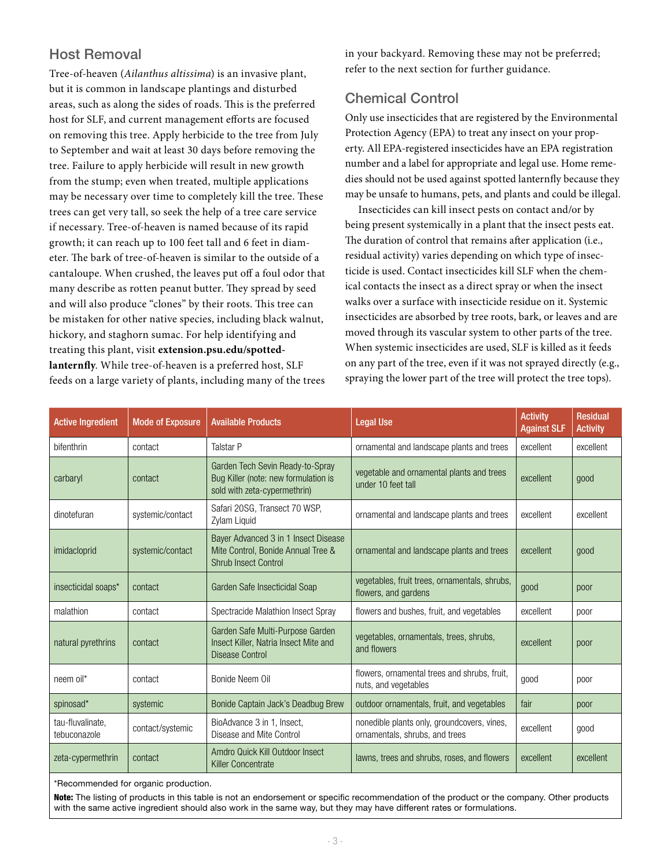## Host Removal

Tree-of-heaven (*Ailanthus altissima*) is an invasive plant, but it is common in landscape plantings and disturbed areas, such as along the sides of roads. This is the preferred host for SLF, and current management efforts are focused on removing this tree. Apply herbicide to the tree from July to September and wait at least 30 days before removing the tree. Failure to apply herbicide will result in new growth from the stump; even when treated, multiple applications may be necessary over time to completely kill the tree. These trees can get very tall, so seek the help of a tree care service if necessary. Tree-of-heaven is named because of its rapid growth; it can reach up to 100 feet tall and 6 feet in diameter. The bark of tree-of-heaven is similar to the outside of a cantaloupe. When crushed, the leaves put off a foul odor that many describe as rotten peanut butter. They spread by seed and will also produce "clones" by their roots. This tree can be mistaken for other native species, including black walnut, hickory, and staghorn sumac. For help identifying and treating this plant, visit **extension.psu.edu/spottedlanternfly**. While tree-of-heaven is a preferred host, SLF feeds on a large variety of plants, including many of the trees in your backyard. Removing these may not be preferred; refer to the next section for further guidance.

### Chemical Control

Only use insecticides that are registered by the Environmental Protection Agency (EPA) to treat any insect on your property. All EPA-registered insecticides have an EPA registration number and a label for appropriate and legal use. Home remedies should not be used against spotted lanternfly because they may be unsafe to humans, pets, and plants and could be illegal.

Insecticides can kill insect pests on contact and/or by being present systemically in a plant that the insect pests eat. The duration of control that remains after application (i.e., residual activity) varies depending on which type of insecticide is used. Contact insecticides kill SLF when the chemical contacts the insect as a direct spray or when the insect walks over a surface with insecticide residue on it. Systemic insecticides are absorbed by tree roots, bark, or leaves and are moved through its vascular system to other parts of the tree. When systemic insecticides are used, SLF is killed as it feeds on any part of the tree, even if it was not sprayed directly (e.g., spraying the lower part of the tree will protect the tree tops).

| <b>Active Ingredient</b>         | <b>Mode of Exposure</b> | <b>Available Products</b>                                                                                 | <b>Legal Use</b>                                                              | <b>Activity</b><br><b>Against SLF</b> | <b>Residual</b><br><b>Activity</b> |
|----------------------------------|-------------------------|-----------------------------------------------------------------------------------------------------------|-------------------------------------------------------------------------------|---------------------------------------|------------------------------------|
| bifenthrin                       | contact                 | <b>Talstar P</b>                                                                                          | ornamental and landscape plants and trees                                     | excellent                             | excellent                          |
| carbaryl                         | contact                 | Garden Tech Sevin Ready-to-Spray<br>Bug Killer (note: new formulation is<br>sold with zeta-cypermethrin)  | vegetable and ornamental plants and trees<br>under 10 feet tall               | excellent                             | good                               |
| dinotefuran                      | systemic/contact        | Safari 20SG, Transect 70 WSP,<br>Zylam Liquid                                                             | ornamental and landscape plants and trees                                     | excellent                             | excellent                          |
| imidacloprid                     | systemic/contact        | Bayer Advanced 3 in 1 Insect Disease<br>Mite Control, Bonide Annual Tree &<br><b>Shrub Insect Control</b> | ornamental and landscape plants and trees                                     | excellent                             | good                               |
| insecticidal soaps*              | contact                 | Garden Safe Insecticidal Soap                                                                             | vegetables, fruit trees, ornamentals, shrubs,<br>flowers, and gardens         | good                                  | poor                               |
| malathion                        | contact                 | Spectracide Malathion Insect Spray                                                                        | flowers and bushes, fruit, and vegetables                                     | excellent                             | poor                               |
| natural pyrethrins               | contact                 | Garden Safe Multi-Purpose Garden<br>Insect Killer, Natria Insect Mite and<br><b>Disease Control</b>       | vegetables, ornamentals, trees, shrubs,<br>and flowers                        | excellent                             | poor                               |
| neem oil*                        | contact                 | Bonide Neem Oil                                                                                           | flowers, ornamental trees and shrubs, fruit,<br>nuts, and vegetables          | good                                  | poor                               |
| spinosad*                        | systemic                | Bonide Captain Jack's Deadbug Brew                                                                        | outdoor ornamentals, fruit, and vegetables                                    | fair                                  | poor                               |
| tau-fluvalinate,<br>tebuconazole | contact/systemic        | BioAdvance 3 in 1, Insect,<br>Disease and Mite Control                                                    | nonedible plants only, groundcovers, vines,<br>ornamentals, shrubs, and trees | excellent                             | good                               |
| zeta-cypermethrin                | contact                 | Amdro Quick Kill Outdoor Insect<br><b>Killer Concentrate</b>                                              | lawns, trees and shrubs, roses, and flowers                                   | excellent                             | excellent                          |

\*Recommended for organic production.

Note: The listing of products in this table is not an endorsement or specific recommendation of the product or the company. Other products with the same active ingredient should also work in the same way, but they may have different rates or formulations.